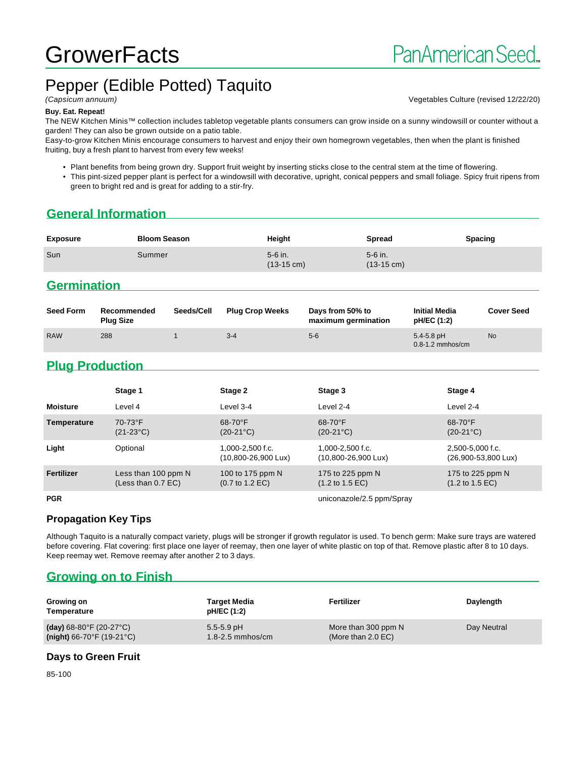# **GrowerFacts**

# Pepper (Edible Potted) Taquito

(Capsicum annuum) Vegetables Culture (revised 12/22/20)

#### **Buy. Eat. Repeat!**

The NEW Kitchen Minis™ collection includes tabletop vegetable plants consumers can grow inside on a sunny windowsill or counter without a garden! They can also be grown outside on a patio table.

Easy-to-grow Kitchen Minis encourage consumers to harvest and enjoy their own homegrown vegetables, then when the plant is finished fruiting, buy a fresh plant to harvest from every few weeks!

• Plant benefits from being grown dry. Support fruit weight by inserting sticks close to the central stem at the time of flowering.

• This pint-sized pepper plant is perfect for a windowsill with decorative, upright, conical peppers and small foliage. Spicy fruit ripens from green to bright red and is great for adding to a stir-fry.

### **General Information**

| <b>Exposure</b> | <b>Bloom Season</b> | Height                            | <b>Spread</b>                     | <b>Spacing</b> |
|-----------------|---------------------|-----------------------------------|-----------------------------------|----------------|
| Sun             | Summer              | $5-6$ in.<br>$(13-15 \text{ cm})$ | $5-6$ in.<br>$(13-15 \text{ cm})$ |                |

#### **Germination**

| <b>Seed Form</b> | Recommended<br><b>Plug Size</b> | Seeds/Cell | <b>Plug Crop Weeks</b> | Days from 50% to<br>maximum germination | <b>Initial Media</b><br>pH/EC (1:2)    | <b>Cover Seed</b> |
|------------------|---------------------------------|------------|------------------------|-----------------------------------------|----------------------------------------|-------------------|
| <b>RAW</b>       | 288                             |            | $3 - 4$                | $5-6$                                   | $5.4 - 5.8$ pH<br>$0.8 - 1.2$ mmhos/cm | <b>No</b>         |

# **Plug Production**

|                   | Stage 1                                     | Stage 2                                                | Stage 3                                                | Stage 4                                                |
|-------------------|---------------------------------------------|--------------------------------------------------------|--------------------------------------------------------|--------------------------------------------------------|
| <b>Moisture</b>   | Level 4                                     | Level 3-4                                              | Level 2-4                                              | Level 2-4                                              |
| Temperature       | 70-73°F<br>$(21-23°C)$                      | $68-70$ °F<br>$(20-21^{\circ}C)$                       | $68-70$ °F<br>$(20-21^{\circ}C)$                       | $68-70$ °F<br>$(20-21^{\circ}C)$                       |
| Light             | Optional                                    | 1,000-2,500 f.c.<br>(10,800-26,900 Lux)                | 1,000-2,500 f.c.<br>$(10,800 - 26,900 \text{ Lux})$    | 2,500-5,000 f.c.<br>(26,900-53,800 Lux)                |
| <b>Fertilizer</b> | Less than 100 ppm N<br>(Less than $0.7$ EC) | 100 to 175 ppm N<br>$(0.7 \text{ to } 1.2 \text{ EC})$ | 175 to 225 ppm N<br>$(1.2 \text{ to } 1.5 \text{ EC})$ | 175 to 225 ppm N<br>$(1.2 \text{ to } 1.5 \text{ EC})$ |
| <b>PGR</b>        |                                             |                                                        | uniconazole/2.5 ppm/Spray                              |                                                        |

#### **Propagation Key Tips**

Although Taquito is a naturally compact variety, plugs will be stronger if growth regulator is used. To bench germ: Make sure trays are watered before covering. Flat covering: first place one layer of reemay, then one layer of white plastic on top of that. Remove plastic after 8 to 10 days. Keep reemay wet. Remove reemay after another 2 to 3 days.

#### **Growing on to Finish**

| Growing on<br>Temperature                      | <b>Target Media</b><br>pH/EC (1:2) | Fertilizer                    | Daylength   |
|------------------------------------------------|------------------------------------|-------------------------------|-------------|
| (day) $68-80^{\circ}$ F (20-27 $^{\circ}$ C)   | $5.5 - 5.9$ pH                     | More than 300 ppm N           | Day Neutral |
| (night) $66-70^{\circ}$ F (19-21 $^{\circ}$ C) | 1.8-2.5 mmhos/cm                   | (More than $2.0 \text{ EC}$ ) |             |

#### **Days to Green Fruit**

85-100